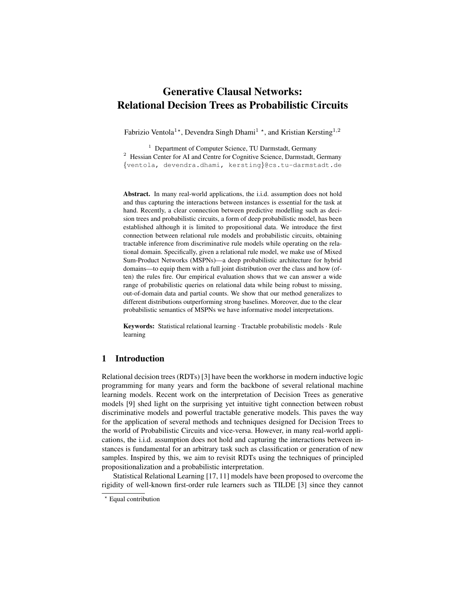# Generative Clausal Networks: Relational Decision Trees as Probabilistic Circuits

Fabrizio Ventola<sup>1\*</sup>, Devendra Singh Dhami<sup>1</sup>\*, and Kristian Kersting<sup>1,2</sup>

 $1$  Department of Computer Science, TU Darmstadt, Germany <sup>2</sup> Hessian Center for AI and Centre for Cognitive Science, Darmstadt, Germany {ventola, devendra.dhami, kersting}@cs.tu-darmstadt.de

Abstract. In many real-world applications, the i.i.d. assumption does not hold and thus capturing the interactions between instances is essential for the task at hand. Recently, a clear connection between predictive modelling such as decision trees and probabilistic circuits, a form of deep probabilistic model, has been established although it is limited to propositional data. We introduce the first connection between relational rule models and probabilistic circuits, obtaining tractable inference from discriminative rule models while operating on the relational domain. Specifically, given a relational rule model, we make use of Mixed Sum-Product Networks (MSPNs)—a deep probabilistic architecture for hybrid domains—to equip them with a full joint distribution over the class and how (often) the rules fire. Our empirical evaluation shows that we can answer a wide range of probabilistic queries on relational data while being robust to missing, out-of-domain data and partial counts. We show that our method generalizes to different distributions outperforming strong baselines. Moreover, due to the clear probabilistic semantics of MSPNs we have informative model interpretations.

Keywords: Statistical relational learning · Tractable probabilistic models · Rule learning

## 1 Introduction

Relational decision trees (RDTs) [3] have been the workhorse in modern inductive logic programming for many years and form the backbone of several relational machine learning models. Recent work on the interpretation of Decision Trees as generative models [9] shed light on the surprising yet intuitive tight connection between robust discriminative models and powerful tractable generative models. This paves the way for the application of several methods and techniques designed for Decision Trees to the world of Probabilistic Circuits and vice-versa. However, in many real-world applications, the i.i.d. assumption does not hold and capturing the interactions between instances is fundamental for an arbitrary task such as classification or generation of new samples. Inspired by this, we aim to revisit RDTs using the techniques of principled propositionalization and a probabilistic interpretation.

Statistical Relational Learning [17, 11] models have been proposed to overcome the rigidity of well-known first-order rule learners such as TILDE [3] since they cannot

<sup>⋆</sup> Equal contribution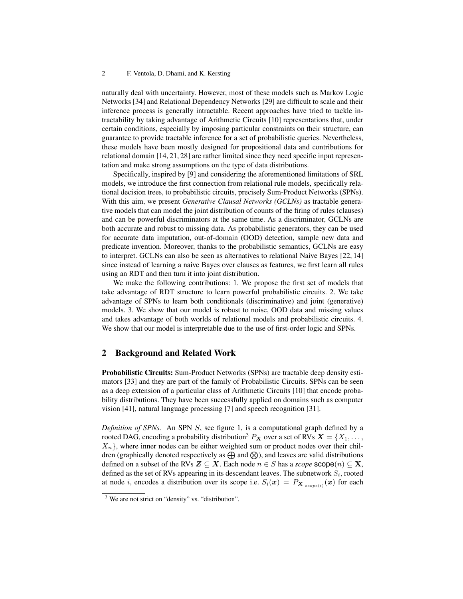naturally deal with uncertainty. However, most of these models such as Markov Logic Networks [34] and Relational Dependency Networks [29] are difficult to scale and their inference process is generally intractable. Recent approaches have tried to tackle intractability by taking advantage of Arithmetic Circuits [10] representations that, under certain conditions, especially by imposing particular constraints on their structure, can guarantee to provide tractable inference for a set of probabilistic queries. Nevertheless, these models have been mostly designed for propositional data and contributions for relational domain [14, 21, 28] are rather limited since they need specific input representation and make strong assumptions on the type of data distributions.

Specifically, inspired by [9] and considering the aforementioned limitations of SRL models, we introduce the first connection from relational rule models, specifically relational decision trees, to probabilistic circuits, precisely Sum-Product Networks (SPNs). With this aim, we present *Generative Clausal Networks (GCLNs)* as tractable generative models that can model the joint distribution of counts of the firing of rules (clauses) and can be powerful discriminators at the same time. As a discriminator, GCLNs are both accurate and robust to missing data. As probabilistic generators, they can be used for accurate data imputation, out-of-domain (OOD) detection, sample new data and predicate invention. Moreover, thanks to the probabilistic semantics, GCLNs are easy to interpret. GCLNs can also be seen as alternatives to relational Naive Bayes [22, 14] since instead of learning a naive Bayes over clauses as features, we first learn all rules using an RDT and then turn it into joint distribution.

We make the following contributions: 1. We propose the first set of models that take advantage of RDT structure to learn powerful probabilistic circuits. 2. We take advantage of SPNs to learn both conditionals (discriminative) and joint (generative) models. 3. We show that our model is robust to noise, OOD data and missing values and takes advantage of both worlds of relational models and probabilistic circuits. 4. We show that our model is interpretable due to the use of first-order logic and SPNs.

# 2 Background and Related Work

Probabilistic Circuits: Sum-Product Networks (SPNs) are tractable deep density estimators [33] and they are part of the family of Probabilistic Circuits. SPNs can be seen as a deep extension of a particular class of Arithmetic Circuits [10] that encode probability distributions. They have been successfully applied on domains such as computer vision [41], natural language processing [7] and speech recognition [31].

*Definition of SPNs.* An SPN S, see figure 1, is a computational graph defined by a rooted DAG, encoding a probability distribution<sup>3</sup>  $P_X$  over a set of RVs  $X = \{X_1, \ldots, X_n\}$  $X_n$ , where inner nodes can be either weighted sum or product nodes over their children (graphically denoted respectively as  $\bigoplus$  and  $\otimes$ ), and leaves are valid distributions defined on a subset of the RVs  $\mathbf{Z} \subseteq \mathbf{X}$ . Each node  $n \in S$  has a *scope*  $\text{scope}(n) \subseteq \mathbf{X}$ , defined as the set of RVs appearing in its descendant leaves. The subnetwork  $S_i$ , rooted at node *i*, encodes a distribution over its scope i.e.  $S_i(\bm{x}) = P_{\bm{X}_{|scope(i)}}(\bm{x})$  for each

<sup>&</sup>lt;sup>3</sup> We are not strict on "density" vs. "distribution".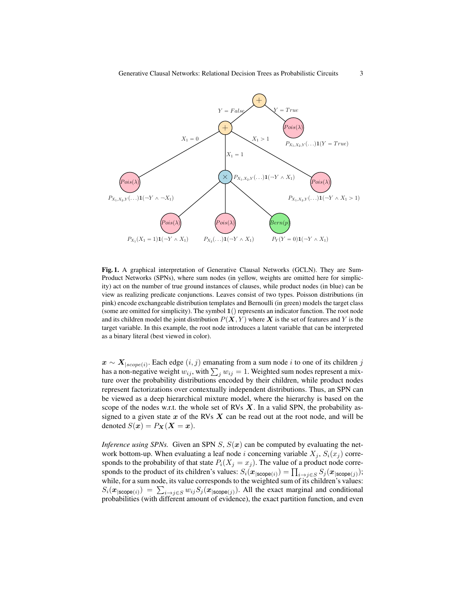

Fig. 1. A graphical interpretation of Generative Clausal Networks (GCLN). They are Sum-Product Networks (SPNs), where sum nodes (in yellow, weights are omitted here for simplicity) act on the number of true ground instances of clauses, while product nodes (in blue) can be view as realizing predicate conjunctions. Leaves consist of two types. Poisson distributions (in pink) encode exchangeable distribution templates and Bernoulli (in green) models the target class (some are omitted for simplicity). The symbol 1() represents an indicator function. The root node and its children model the joint distribution  $P(X, Y)$  where X is the set of features and Y is the target variable. In this example, the root node introduces a latent variable that can be interpreted as a binary literal (best viewed in color).

 $\bm{x} \sim \bm{X}_{|scope(i)}$ . Each edge  $(i, j)$  emanating from a sum node  $i$  to one of its children  $j$ has a non-negative weight  $w_{ij}$ , with  $\sum_j w_{ij} = 1$ . Weighted sum nodes represent a mixture over the probability distributions encoded by their children, while product nodes represent factorizations over contextually independent distributions. Thus, an SPN can be viewed as a deep hierarchical mixture model, where the hierarchy is based on the scope of the nodes w.r.t. the whole set of RVs  $X$ . In a valid SPN, the probability assigned to a given state  $x$  of the RVs  $X$  can be read out at the root node, and will be denoted  $S(x) = P_X(X = x)$ .

*Inference using SPNs.* Given an SPN  $S$ ,  $S(x)$  can be computed by evaluating the network bottom-up. When evaluating a leaf node i concerning variable  $X_i$ ,  $S_i(x_i)$  corresponds to the probability of that state  $P_i(X_j = x_j)$ . The value of a product node corresponds to the product of its children's values:  $S_i(\bm{x}_{|\mathsf{scope}(i)}) = \prod_{i \to j \in S} S_j(\bm{x}_{|\mathsf{scope}(j)}) ;$ while, for a sum node, its value corresponds to the weighted sum of its children's values:  $S_i(\mathbf{x}_{|\text{scope}(i)}) = \sum_{i \to j \in S} w_{ij} S_j(\mathbf{x}_{| \text{scope}(j)})$ . All the exact marginal and conditional probabilities (with different amount of evidence), the exact partition function, and even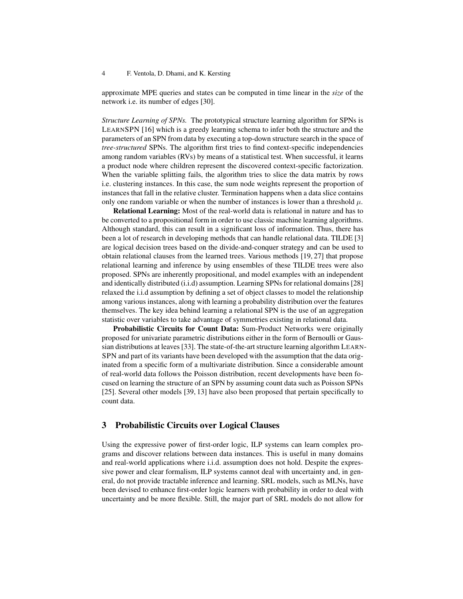approximate MPE queries and states can be computed in time linear in the *size* of the network i.e. its number of edges [30].

*Structure Learning of SPNs.* The prototypical structure learning algorithm for SPNs is LEARNSPN [16] which is a greedy learning schema to infer both the structure and the parameters of an SPN from data by executing a top-down structure search in the space of *tree-structured* SPNs. The algorithm first tries to find context-specific independencies among random variables (RVs) by means of a statistical test. When successful, it learns a product node where children represent the discovered context-specific factorization. When the variable splitting fails, the algorithm tries to slice the data matrix by rows i.e. clustering instances. In this case, the sum node weights represent the proportion of instances that fall in the relative cluster. Termination happens when a data slice contains only one random variable or when the number of instances is lower than a threshold  $\mu$ .

Relational Learning: Most of the real-world data is relational in nature and has to be converted to a propositional form in order to use classic machine learning algorithms. Although standard, this can result in a significant loss of information. Thus, there has been a lot of research in developing methods that can handle relational data. TILDE [3] are logical decision trees based on the divide-and-conquer strategy and can be used to obtain relational clauses from the learned trees. Various methods [19, 27] that propose relational learning and inference by using ensembles of these TILDE trees were also proposed. SPNs are inherently propositional, and model examples with an independent and identically distributed (i.i.d) assumption. Learning SPNs for relational domains [28] relaxed the i.i.d assumption by defining a set of object classes to model the relationship among various instances, along with learning a probability distribution over the features themselves. The key idea behind learning a relational SPN is the use of an aggregation statistic over variables to take advantage of symmetries existing in relational data.

Probabilistic Circuits for Count Data: Sum-Product Networks were originally proposed for univariate parametric distributions either in the form of Bernoulli or Gaussian distributions at leaves [33]. The state-of-the-art structure learning algorithm LEARN-SPN and part of its variants have been developed with the assumption that the data originated from a specific form of a multivariate distribution. Since a considerable amount of real-world data follows the Poisson distribution, recent developments have been focused on learning the structure of an SPN by assuming count data such as Poisson SPNs [25]. Several other models [39, 13] have also been proposed that pertain specifically to count data.

# 3 Probabilistic Circuits over Logical Clauses

Using the expressive power of first-order logic, ILP systems can learn complex programs and discover relations between data instances. This is useful in many domains and real-world applications where i.i.d. assumption does not hold. Despite the expressive power and clear formalism, ILP systems cannot deal with uncertainty and, in general, do not provide tractable inference and learning. SRL models, such as MLNs, have been devised to enhance first-order logic learners with probability in order to deal with uncertainty and be more flexible. Still, the major part of SRL models do not allow for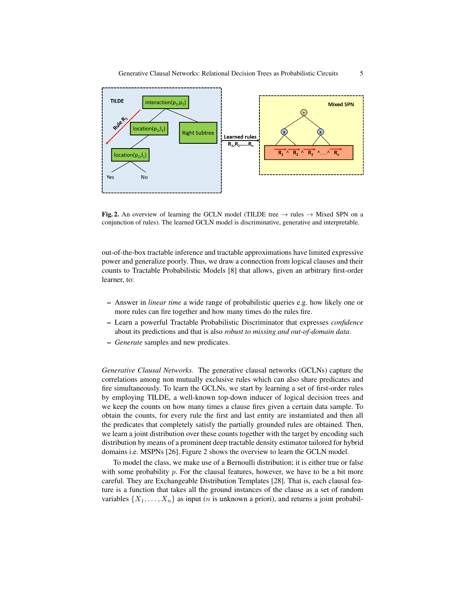

Fig. 2. An overview of learning the GCLN model (TILDE tree  $\rightarrow$  rules  $\rightarrow$  Mixed SPN on a conjunction of rules). The learned GCLN model is discriminative, generative and interpretable.

out-of-the-box tractable inference and tractable approximations have limited expressive power and generalize poorly. Thus, we draw a connection from logical clauses and their counts to Tractable Probabilistic Models [8] that allows, given an arbitrary first-order learner, to:

- Answer in *linear time* a wide range of probabilistic queries e.g. how likely one or more rules can fire together and how many times do the rules fire.
- Learn a powerful Tractable Probabilistic Discriminator that expresses *confidence* about its predictions and that is also *robust to missing and out-of-domain data*.
- *Generate* samples and new predicates.

*Generative Clausal Networks.* The generative clausal networks (GCLNs) capture the correlations among non mutually exclusive rules which can also share predicates and fire simultaneously. To learn the GCLNs, we start by learning a set of first-order rules by employing TILDE, a well-known top-down inducer of logical decision trees and we keep the counts on how many times a clause fires given a certain data sample. To obtain the counts, for every rule the first and last entity are instantiated and then all the predicates that completely satisfy the partially grounded rules are obtained. Then, we learn a joint distribution over these counts together with the target by encoding such distribution by means of a prominent deep tractable density estimator tailored for hybrid domains i.e. MSPNs [26]. Figure 2 shows the overview to learn the GCLN model.

To model the class, we make use of a Bernoulli distribution; it is either true or false with some probability  $p$ . For the clausal features, however, we have to be a bit more careful. They are Exchangeable Distribution Templates [28]. That is, each clausal feature is a function that takes all the ground instances of the clause as a set of random variables  $\{X_1, \ldots, X_n\}$  as input (*n* is unknown a priori), and returns a joint probabil-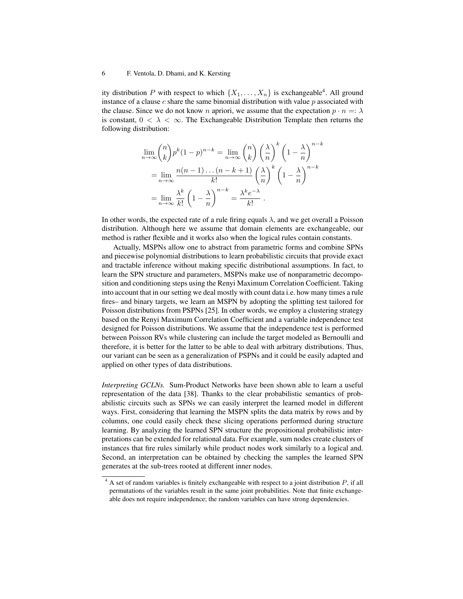#### 6 F. Ventola, D. Dhami, and K. Kersting

ity distribution P with respect to which  $\{X_1, \ldots, X_n\}$  is exchangeable<sup>4</sup>. All ground instance of a clause c share the same binomial distribution with value  $p$  associated with the clause. Since we do not know n apriori, we assume that the expectation  $p \cdot n =: \lambda$ is constant,  $0 < \lambda < \infty$ . The Exchangeable Distribution Template then returns the following distribution:

$$
\lim_{n \to \infty} {n \choose k} p^k (1-p)^{n-k} = \lim_{n \to \infty} {n \choose k} \left(\frac{\lambda}{n}\right)^k \left(1 - \frac{\lambda}{n}\right)^{n-k}
$$

$$
= \lim_{n \to \infty} \frac{n(n-1)\dots(n-k+1)}{k!} \left(\frac{\lambda}{n}\right)^k \left(1 - \frac{\lambda}{n}\right)^{n-k}
$$

$$
= \lim_{n \to \infty} \frac{\lambda^k}{k!} \left(1 - \frac{\lambda}{n}\right)^{n-k} = \frac{\lambda^k e^{-\lambda}}{k!}.
$$

In other words, the expected rate of a rule firing equals  $\lambda$ , and we get overall a Poisson distribution. Although here we assume that domain elements are exchangeable, our method is rather flexible and it works also when the logical rules contain constants.

Actually, MSPNs allow one to abstract from parametric forms and combine SPNs and piecewise polynomial distributions to learn probabilistic circuits that provide exact and tractable inference without making specific distributional assumptions. In fact, to learn the SPN structure and parameters, MSPNs make use of nonparametric decomposition and conditioning steps using the Renyi Maximum Correlation Coefficient. Taking into account that in our setting we deal mostly with count data i.e. how many times a rule fires– and binary targets, we learn an MSPN by adopting the splitting test tailored for Poisson distributions from PSPNs [25]. In other words, we employ a clustering strategy based on the Renyi Maximum Correlation Coefficient and a variable independence test designed for Poisson distributions. We assume that the independence test is performed between Poisson RVs while clustering can include the target modeled as Bernoulli and therefore, it is better for the latter to be able to deal with arbitrary distributions. Thus, our variant can be seen as a generalization of PSPNs and it could be easily adapted and applied on other types of data distributions.

*Interpreting GCLNs.* Sum-Product Networks have been shown able to learn a useful representation of the data [38]. Thanks to the clear probabilistic semantics of probabilistic circuits such as SPNs we can easily interpret the learned model in different ways. First, considering that learning the MSPN splits the data matrix by rows and by columns, one could easily check these slicing operations performed during structure learning. By analyzing the learned SPN structure the propositional probabilistic interpretations can be extended for relational data. For example, sum nodes create clusters of instances that fire rules similarly while product nodes work similarly to a logical and. Second, an interpretation can be obtained by checking the samples the learned SPN generates at the sub-trees rooted at different inner nodes.

 $4$  A set of random variables is finitely exchangeable with respect to a joint distribution  $P$ , if all permutations of the variables result in the same joint probabilities. Note that finite exchangeable does not require independence; the random variables can have strong dependencies.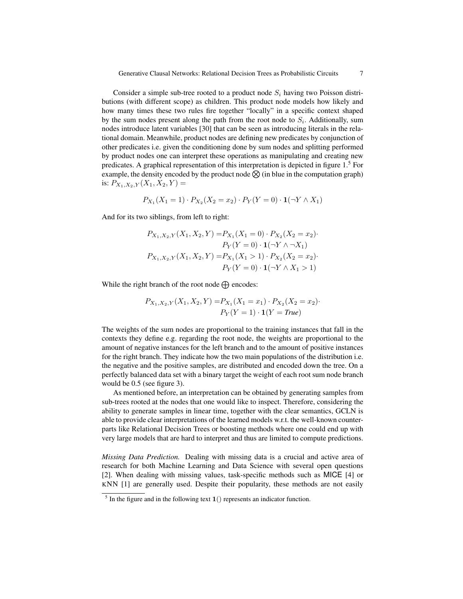Consider a simple sub-tree rooted to a product node  $S_i$  having two Poisson distributions (with different scope) as children. This product node models how likely and how many times these two rules fire together "locally" in a specific context shaped by the sum nodes present along the path from the root node to  $S_i$ . Additionally, sum nodes introduce latent variables [30] that can be seen as introducing literals in the relational domain. Meanwhile, product nodes are defining new predicates by conjunction of other predicates i.e. given the conditioning done by sum nodes and splitting performed by product nodes one can interpret these operations as manipulating and creating new predicates. A graphical representation of this interpretation is depicted in figure 1.<sup>5</sup> For example, the density encoded by the product node  $\otimes$  (in blue in the computation graph) is:  $P_{X_1, X_2, Y}(X_1, X_2, Y) =$ 

$$
P_{X_1}(X_1 = 1) \cdot P_{X_2}(X_2 = x_2) \cdot P_Y(Y = 0) \cdot \mathbf{1}(\neg Y \land X_1)
$$

And for its two siblings, from left to right:

$$
P_{X_1, X_2, Y}(X_1, X_2, Y) = P_{X_1}(X_1 = 0) \cdot P_{X_2}(X_2 = x_2) \cdot P_{Y_1}(Y = 0) \cdot \mathbf{1}(\neg Y \land \neg X_1)
$$
  
\n
$$
P_{X_1, X_2, Y}(X_1, X_2, Y) = P_{X_1}(X_1 > 1) \cdot P_{X_2}(X_2 = x_2) \cdot P_{Y_1}(Y = 0) \cdot \mathbf{1}(\neg Y \land X_1 > 1)
$$

While the right branch of the root node  $\bigoplus$  encodes:

$$
P_{X_1,X_2,Y}(X_1,X_2,Y) = P_{X_1}(X_1 = x_1) \cdot P_{X_2}(X_2 = x_2) \cdot P_{Y}(Y = 1) \cdot \mathbf{1}(Y = True)
$$

The weights of the sum nodes are proportional to the training instances that fall in the contexts they define e.g. regarding the root node, the weights are proportional to the amount of negative instances for the left branch and to the amount of positive instances for the right branch. They indicate how the two main populations of the distribution i.e. the negative and the positive samples, are distributed and encoded down the tree. On a perfectly balanced data set with a binary target the weight of each root sum node branch would be 0.5 (see figure 3).

As mentioned before, an interpretation can be obtained by generating samples from sub-trees rooted at the nodes that one would like to inspect. Therefore, considering the ability to generate samples in linear time, together with the clear semantics, GCLN is able to provide clear interpretations of the learned models w.r.t. the well-known counterparts like Relational Decision Trees or boosting methods where one could end up with very large models that are hard to interpret and thus are limited to compute predictions.

*Missing Data Prediction.* Dealing with missing data is a crucial and active area of research for both Machine Learning and Data Science with several open questions [2]. When dealing with missing values, task-specific methods such as MICE [4] or KNN [1] are generally used. Despite their popularity, these methods are not easily

 $<sup>5</sup>$  In the figure and in the following text  $1()$  represents an indicator function.</sup>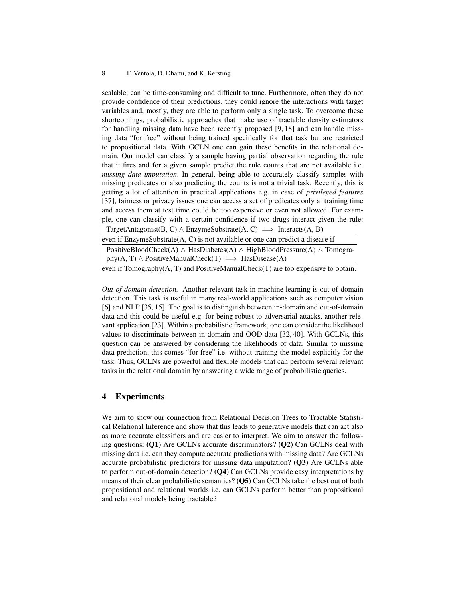scalable, can be time-consuming and difficult to tune. Furthermore, often they do not provide confidence of their predictions, they could ignore the interactions with target variables and, mostly, they are able to perform only a single task. To overcome these shortcomings, probabilistic approaches that make use of tractable density estimators for handling missing data have been recently proposed [9, 18] and can handle missing data "for free" without being trained specifically for that task but are restricted to propositional data. With GCLN one can gain these benefits in the relational domain. Our model can classify a sample having partial observation regarding the rule that it fires and for a given sample predict the rule counts that are not available i.e. *missing data imputation*. In general, being able to accurately classify samples with missing predicates or also predicting the counts is not a trivial task. Recently, this is getting a lot of attention in practical applications e.g. in case of *privileged features* [37], fairness or privacy issues one can access a set of predicates only at training time and access them at test time could be too expensive or even not allowed. For example, one can classify with a certain confidence if two drugs interact given the rule:

TargetAntagonist(B, C)  $\land$  EnzymeSubstrate(A, C)  $\implies$  Interacts(A, B)

even if EnzymeSubstrate(A, C) is not available or one can predict a disease if

PositiveBloodCheck(A) ∧ HasDiabetes(A) ∧ HighBloodPressure(A) ∧ Tomography(A, T)  $\land$  PositiveManualCheck(T)  $\implies$  HasDisease(A)

even if  $Tomography(A, T)$  and  $PositiveManualCheck(T)$  are too expensive to obtain.

*Out-of-domain detection.* Another relevant task in machine learning is out-of-domain detection. This task is useful in many real-world applications such as computer vision [6] and NLP [35, 15]. The goal is to distinguish between in-domain and out-of-domain data and this could be useful e.g. for being robust to adversarial attacks, another relevant application [23]. Within a probabilistic framework, one can consider the likelihood values to discriminate between in-domain and OOD data [32, 40]. With GCLNs, this question can be answered by considering the likelihoods of data. Similar to missing data prediction, this comes "for free" i.e. without training the model explicitly for the task. Thus, GCLNs are powerful and flexible models that can perform several relevant tasks in the relational domain by answering a wide range of probabilistic queries.

# 4 Experiments

We aim to show our connection from Relational Decision Trees to Tractable Statistical Relational Inference and show that this leads to generative models that can act also as more accurate classifiers and are easier to interpret. We aim to answer the following questions:  $(O1)$  Are GCLNs accurate discriminators?  $(O2)$  Can GCLNs deal with missing data i.e. can they compute accurate predictions with missing data? Are GCLNs accurate probabilistic predictors for missing data imputation? (Q3) Are GCLNs able to perform out-of-domain detection? (Q4) Can GCLNs provide easy interpretations by means of their clear probabilistic semantics? (Q5) Can GCLNs take the best out of both propositional and relational worlds i.e. can GCLNs perform better than propositional and relational models being tractable?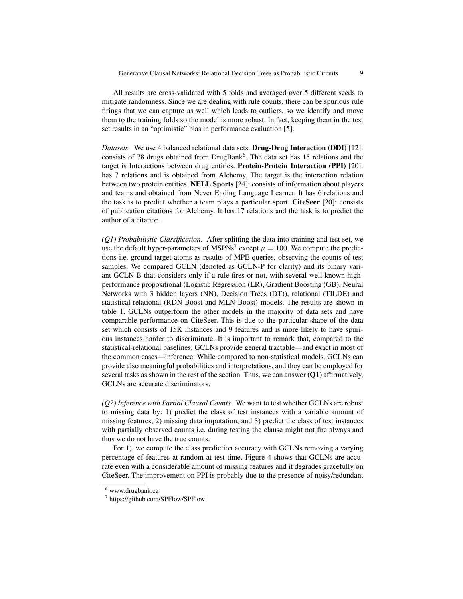All results are cross-validated with 5 folds and averaged over 5 different seeds to mitigate randomness. Since we are dealing with rule counts, there can be spurious rule firings that we can capture as well which leads to outliers, so we identify and move them to the training folds so the model is more robust. In fact, keeping them in the test set results in an "optimistic" bias in performance evaluation [5].

*Datasets.* We use 4 balanced relational data sets. Drug-Drug Interaction (DDI) [12]: consists of 78 drugs obtained from DrugBank<sup>6</sup>. The data set has 15 relations and the target is Interactions between drug entities. Protein-Protein Interaction (PPI) [20]: has 7 relations and is obtained from Alchemy. The target is the interaction relation between two protein entities. NELL Sports [24]: consists of information about players and teams and obtained from Never Ending Language Learner. It has 6 relations and the task is to predict whether a team plays a particular sport. CiteSeer [20]: consists of publication citations for Alchemy. It has 17 relations and the task is to predict the author of a citation.

*(Q1) Probabilistic Classification.* After splitting the data into training and test set, we use the default hyper-parameters of MSPNs<sup>7</sup> except  $\mu = 100$ . We compute the predictions i.e. ground target atoms as results of MPE queries, observing the counts of test samples. We compared GCLN (denoted as GCLN-P for clarity) and its binary variant GCLN-B that considers only if a rule fires or not, with several well-known highperformance propositional (Logistic Regression (LR), Gradient Boosting (GB), Neural Networks with 3 hidden layers (NN), Decision Trees (DT)), relational (TILDE) and statistical-relational (RDN-Boost and MLN-Boost) models. The results are shown in table 1. GCLNs outperform the other models in the majority of data sets and have comparable performance on CiteSeer. This is due to the particular shape of the data set which consists of 15K instances and 9 features and is more likely to have spurious instances harder to discriminate. It is important to remark that, compared to the statistical-relational baselines, GCLNs provide general tractable—and exact in most of the common cases—inference. While compared to non-statistical models, GCLNs can provide also meaningful probabilities and interpretations, and they can be employed for several tasks as shown in the rest of the section. Thus, we can answer (Q1) affirmatively, GCLNs are accurate discriminators.

*(Q2) Inference with Partial Clausal Counts.* We want to test whether GCLNs are robust to missing data by: 1) predict the class of test instances with a variable amount of missing features, 2) missing data imputation, and 3) predict the class of test instances with partially observed counts i.e. during testing the clause might not fire always and thus we do not have the true counts.

For 1), we compute the class prediction accuracy with GCLNs removing a varying percentage of features at random at test time. Figure 4 shows that GCLNs are accurate even with a considerable amount of missing features and it degrades gracefully on CiteSeer. The improvement on PPI is probably due to the presence of noisy/redundant

<sup>6</sup> www.drugbank.ca

<sup>7</sup> https://github.com/SPFlow/SPFlow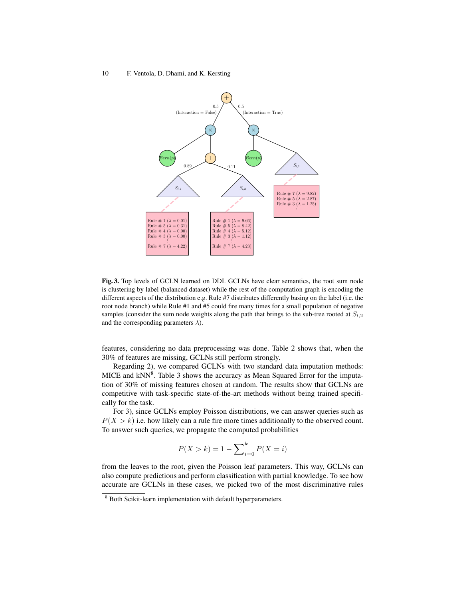#### 10 F. Ventola, D. Dhami, and K. Kersting



Fig. 3. Top levels of GCLN learned on DDI. GCLNs have clear semantics, the root sum node is clustering by label (balanced dataset) while the rest of the computation graph is encoding the different aspects of the distribution e.g. Rule #7 distributes differently basing on the label (i.e. the root node branch) while Rule #1 and #5 could fire many times for a small population of negative samples (consider the sum node weights along the path that brings to the sub-tree rooted at  $S_{l,2}$ and the corresponding parameters  $\lambda$ ).

features, considering no data preprocessing was done. Table 2 shows that, when the 30% of features are missing, GCLNs still perform strongly.

Regarding 2), we compared GCLNs with two standard data imputation methods: MICE and  $kNN^8$ . Table 3 shows the accuracy as Mean Squared Error for the imputation of 30% of missing features chosen at random. The results show that GCLNs are competitive with task-specific state-of-the-art methods without being trained specifically for the task.

For 3), since GCLNs employ Poisson distributions, we can answer queries such as  $P(X > k)$  i.e. how likely can a rule fire more times additionally to the observed count. To answer such queries, we propagate the computed probabilities

$$
P(X > k) = 1 - \sum_{i=0}^{k} P(X = i)
$$

from the leaves to the root, given the Poisson leaf parameters. This way, GCLNs can also compute predictions and perform classification with partial knowledge. To see how accurate are GCLNs in these cases, we picked two of the most discriminative rules

<sup>8</sup> Both Scikit-learn implementation with default hyperparameters.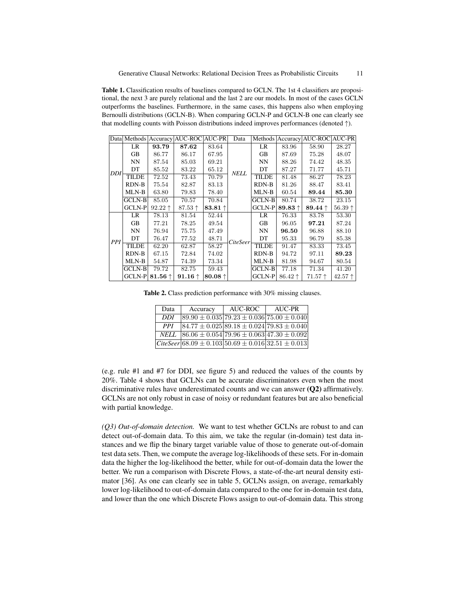Table 1. Classification results of baselines compared to GCLN. The 1st 4 classifiers are propositional, the next 3 are purely relational and the last 2 are our models. In most of the cases GCLN outperforms the baselines. Furthermore, in the same cases, this happens also when employing Bernoulli distributions (GCLN-B). When comparing GCLN-P and GCLN-B one can clearly see that modelling counts with Poisson distributions indeed improves performances (denoted ↑).

|     |               |                    | Data   Methods   Accuracy   AUC-ROC   AUC-PR |                  | Data        |               |                    | Methods Accuracy AUC-ROC AUC-PR |                  |
|-----|---------------|--------------------|----------------------------------------------|------------------|-------------|---------------|--------------------|---------------------------------|------------------|
| DDI | LR            | 93.79              | 87.62                                        | 83.64            | <b>NELL</b> | <b>LR</b>     | 83.96              | 58.90                           | 28.27            |
|     | <b>GB</b>     | 86.77              | 86.17                                        | 67.95            |             | GB            | 87.69              | 75.28                           | 48.07            |
|     | NN            | 87.54              | 85.03                                        | 69.21            |             | NN            | 88.26              | 74.42                           | 48.35            |
|     | DT            | 85.52              | 83.22                                        | 65.12            |             | DT            | 87.27              | 71.77                           | 45.71            |
|     | TILDE         | 72.52              | 73.43                                        | 70.79            |             | <b>TILDE</b>  | 81.48              | 86.27                           | 78.23            |
|     | <b>RDN-B</b>  | 75.54              | 82.87                                        | 83.13            |             | <b>RDN-B</b>  | 81.26              | 88.47                           | 83.41            |
|     | MLN-B         | 63.80              | 79.83                                        | 78.40            |             | MLN-B         | 60.54              | 89.44                           | 85.30            |
|     | <b>GCLN-B</b> | 85.05              | 70.57                                        | 70.84            |             | <b>GCLN-B</b> | 80.74              | 38.72                           | 23.15            |
|     | <b>GCLN-P</b> | $92.22$ $\uparrow$ | $87.53$ $\uparrow$                           | 83.81 $\uparrow$ |             | GCLN-P        | 89.83 $\uparrow$   | 89.44 $\uparrow$                | $56.39 \uparrow$ |
|     | LR            | 78.13              | 81.54                                        | 52.44            | CiteSeer    | LR.           | 76.33              | 83.78                           | 53.30            |
|     | <b>GB</b>     | 77.21              | 78.25                                        | 49.54            |             | GB            | 96.05              | 97.21                           | 87.24            |
|     | NN            | 76.94              | 75.75                                        | 47.49            |             | NN            | 96.50              | 96.88                           | 88.10            |
| PPI | DT            | 76.47              | 77.52                                        | 48.71            |             | DT            | 95.33              | 96.79                           | 85.38            |
|     | <b>TILDE</b>  | 62.20              | 62.87                                        | 58.27            |             | <b>TILDE</b>  | 91.47              | 83.33                           | 73.45            |
|     | <b>RDN-B</b>  | 67.15              | 72.84                                        | 74.02            |             | <b>RDN-B</b>  | 94.72              | 97.11                           | 89.23            |
|     | MLN-B         | 54.87              | 74.39                                        | 73.34            |             | MLN-B         | 81.98              | 94.67                           | 80.54            |
|     | <b>GCLN-B</b> | 79.72              | 82.75                                        | 59.43            |             | <b>GCLN-B</b> | 77.18              | 71.34                           | 41.20            |
|     | <b>GCLN-P</b> | 81.56 $\uparrow$   | $91.16 \uparrow$                             | 80.08 $\dagger$  |             | GCLN-P        | $86.42$ $\uparrow$ | $71.57$ 个                       | $42.57 \uparrow$ |

Table 2. Class prediction performance with 30% missing clauses.

| Data       | Accuracy                                                                               | AUC-ROC | AUC-PR |
|------------|----------------------------------------------------------------------------------------|---------|--------|
| <b>DDI</b> | $ 89.90 \pm 0.035 79.23 \pm 0.036 75.00 \pm 0.040 $                                    |         |        |
| <b>PPI</b> | $\overline{84.77 \pm 0.025}$ $\overline{89.18 \pm 0.024}$ $\overline{79.83 \pm 0.040}$ |         |        |
| NELL.      | $86.06 \pm 0.054$ 79.96 $\pm$ 0.063 47.30 $\pm$ 0.092                                  |         |        |
|            | $ CiteSeer 68.09 \pm 0.103 50.69 \pm 0.016 32.51 \pm 0.013 $                           |         |        |

(e.g. rule #1 and #7 for DDI, see figure 5) and reduced the values of the counts by 20%. Table 4 shows that GCLNs can be accurate discriminators even when the most discriminative rules have underestimated counts and we can answer  $(O2)$  affirmatively. GCLNs are not only robust in case of noisy or redundant features but are also beneficial with partial knowledge.

*(Q3) Out-of-domain detection.* We want to test whether GCLNs are robust to and can detect out-of-domain data. To this aim, we take the regular (in-domain) test data instances and we flip the binary target variable value of those to generate out-of-domain test data sets. Then, we compute the average log-likelihoods of these sets. For in-domain data the higher the log-likelihood the better, while for out-of-domain data the lower the better. We run a comparison with Discrete Flows, a state-of-the-art neural density estimator [36]. As one can clearly see in table 5, GCLNs assign, on average, remarkably lower log-likelihood to out-of-domain data compared to the one for in-domain test data, and lower than the one which Discrete Flows assign to out-of-domain data. This strong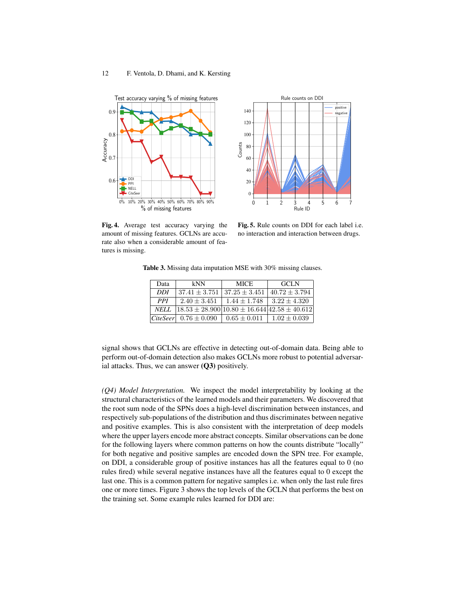



Fig. 4. Average test accuracy varying the amount of missing features. GCLNs are accurate also when a considerable amount of features is missing.

Fig. 5. Rule counts on DDI for each label i.e. no interaction and interaction between drugs.

Table 3. Missing data imputation MSE with 30% missing clauses.

| Data       | kNN                                                                                       | <b>MICE</b>    | <b>GCLN</b>       |
|------------|-------------------------------------------------------------------------------------------|----------------|-------------------|
| DDI        | $37.41 + 3.751 \cdot 37.25 + 3.451$                                                       |                | $40.72 \pm 3.794$ |
| <b>PPI</b> | $2.40 + 3.451$                                                                            | $1.44 + 1.748$ | $3.22 \pm 4.320$  |
| NELL       | $\overline{18.53 \pm 28.900}$ $\overline{10.80 \pm 16.644}$ $\overline{42.58 \pm 40.612}$ |                |                   |
|            | <i>CiteSeer</i> $0.76 \pm 0.090$ $0.65 \pm 0.011$                                         |                | $1.02 \pm 0.039$  |

signal shows that GCLNs are effective in detecting out-of-domain data. Being able to perform out-of-domain detection also makes GCLNs more robust to potential adversarial attacks. Thus, we can answer  $(Q3)$  positively.

*(Q4) Model Interpretation.* We inspect the model interpretability by looking at the structural characteristics of the learned models and their parameters. We discovered that the root sum node of the SPNs does a high-level discrimination between instances, and respectively sub-populations of the distribution and thus discriminates between negative and positive examples. This is also consistent with the interpretation of deep models where the upper layers encode more abstract concepts. Similar observations can be done for the following layers where common patterns on how the counts distribute "locally" for both negative and positive samples are encoded down the SPN tree. For example, on DDI, a considerable group of positive instances has all the features equal to 0 (no rules fired) while several negative instances have all the features equal to 0 except the last one. This is a common pattern for negative samples i.e. when only the last rule fires one or more times. Figure 3 shows the top levels of the GCLN that performs the best on the training set. Some example rules learned for DDI are: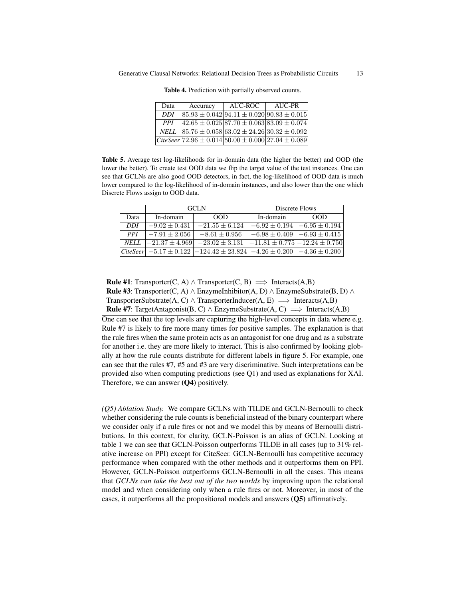| Data        | Accuracy | AUC-ROC | AUC-PR                                                         |
|-------------|----------|---------|----------------------------------------------------------------|
| DDI         |          |         | $ 85.93 \pm 0.042 94.11 \pm 0.020 90.83 \pm 0.015 $            |
| <b>PPI</b>  |          |         | $ 42.65 \pm 0.025 87.70 \pm 0.063 83.09 \pm 0.074 $            |
| <b>NELL</b> |          |         | $ 85.76 \pm 0.058 63.02 \pm 24.26 30.32 \pm 0.092 $            |
|             |          |         | CiteSeer $72.96 \pm 0.014$ $50.00 \pm 0.000$ $27.04 \pm 0.089$ |

Table 4. Prediction with partially observed counts.

Table 5. Average test log-likelihoods for in-domain data (the higher the better) and OOD (the lower the better). To create test OOD data we flip the target value of the test instances. One can see that GCLNs are also good OOD detectors, in fact, the log-likelihood of OOD data is much lower compared to the log-likelihood of in-domain instances, and also lower than the one which Discrete Flows assign to OOD data.

|            |                    | <b>GCLN</b>                                                | Discrete Flows                           |                   |  |
|------------|--------------------|------------------------------------------------------------|------------------------------------------|-------------------|--|
| Data       | In-domain          | 00D                                                        | In-domain                                | OOD               |  |
| DDI        | $-9.02 + 0.431$    | $-21.55 \pm 6.124$                                         | $-6.92 \pm 0.194$                        | $-6.95 \pm 0.194$ |  |
| <b>PPI</b> | $-7.91 \pm 2.056$  | $-8.61 \pm 0.956$                                          | $-6.98 \pm 0.409$                        | $-6.93 \pm 0.415$ |  |
| NELL.      | $-21.37 \pm 4.969$ | $-23.02 \pm 3.131$                                         | $[-11.81 \pm 0.775]$ $-12.24 \pm 0.750]$ |                   |  |
| CiteSeer   |                    | $-5.17 \pm 0.122$ $ -124.42 \pm 23.824 $ $-4.26 \pm 0.200$ |                                          | $-4.36 \pm 0.200$ |  |

| <b>Rule #1:</b> Transporter(C, A) $\land$ Transporter(C, B) $\implies$ Interacts(A,B)                  |
|--------------------------------------------------------------------------------------------------------|
| <b>Rule #3</b> : Transporter(C, A) $\land$ EnzymeInhibitor(A, D) $\land$ EnzymeSubstrate(B, D) $\land$ |
| TransporterSubstrate(A, C) $\land$ TransporterInducer(A, E) $\implies$ Interacts(A,B)                  |
| <b>Rule #7:</b> TargetAntagonist(B, C) $\land$ EnzymeSubstrate(A, C) $\implies$ Interacts(A,B)         |

One can see that the top levels are capturing the high-level concepts in data where e.g. Rule #7 is likely to fire more many times for positive samples. The explanation is that the rule fires when the same protein acts as an antagonist for one drug and as a substrate for another i.e. they are more likely to interact. This is also confirmed by looking globally at how the rule counts distribute for different labels in figure 5. For example, one can see that the rules #7, #5 and #3 are very discriminative. Such interpretations can be provided also when computing predictions (see Q1) and used as explanations for XAI. Therefore, we can answer (Q4) positively.

*(Q5) Ablation Study.* We compare GCLNs with TILDE and GCLN-Bernoulli to check whether considering the rule counts is beneficial instead of the binary counterpart where we consider only if a rule fires or not and we model this by means of Bernoulli distributions. In this context, for clarity, GCLN-Poisson is an alias of GCLN. Looking at table 1 we can see that GCLN-Poisson outperforms TILDE in all cases (up to 31% relative increase on PPI) except for CiteSeer. GCLN-Bernoulli has competitive accuracy performance when compared with the other methods and it outperforms them on PPI. However, GCLN-Poisson outperforms GCLN-Bernoulli in all the cases. This means that *GCLNs can take the best out of the two worlds* by improving upon the relational model and when considering only when a rule fires or not. Moreover, in most of the cases, it outperforms all the propositional models and answers (Q5) affirmatively.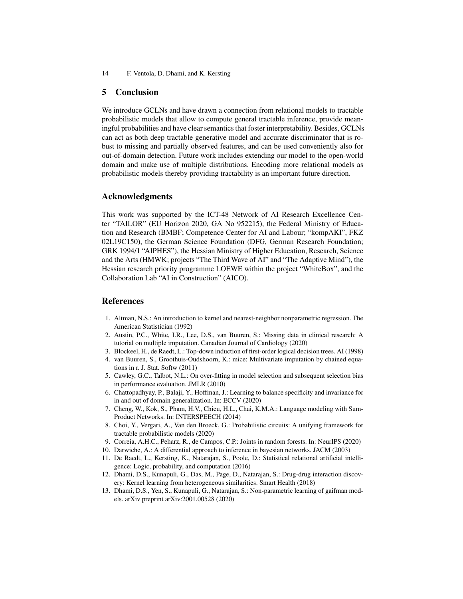14 F. Ventola, D. Dhami, and K. Kersting

### 5 Conclusion

We introduce GCLNs and have drawn a connection from relational models to tractable probabilistic models that allow to compute general tractable inference, provide meaningful probabilities and have clear semantics that foster interpretability. Besides, GCLNs can act as both deep tractable generative model and accurate discriminator that is robust to missing and partially observed features, and can be used conveniently also for out-of-domain detection. Future work includes extending our model to the open-world domain and make use of multiple distributions. Encoding more relational models as probabilistic models thereby providing tractability is an important future direction.

### Acknowledgments

This work was supported by the ICT-48 Network of AI Research Excellence Center "TAILOR" (EU Horizon 2020, GA No 952215), the Federal Ministry of Education and Research (BMBF; Competence Center for AI and Labour; "kompAKI", FKZ 02L19C150), the German Science Foundation (DFG, German Research Foundation; GRK 1994/1 "AIPHES"), the Hessian Ministry of Higher Education, Research, Science and the Arts (HMWK; projects "The Third Wave of AI" and "The Adaptive Mind"), the Hessian research priority programme LOEWE within the project "WhiteBox", and the Collaboration Lab "AI in Construction" (AICO).

#### References

- 1. Altman, N.S.: An introduction to kernel and nearest-neighbor nonparametric regression. The American Statistician (1992)
- 2. Austin, P.C., White, I.R., Lee, D.S., van Buuren, S.: Missing data in clinical research: A tutorial on multiple imputation. Canadian Journal of Cardiology (2020)
- 3. Blockeel, H., de Raedt, L.: Top-down induction of first-order logical decision trees. AI (1998)
- 4. van Buuren, S., Groothuis-Oudshoorn, K.: mice: Multivariate imputation by chained equations in r. J. Stat. Softw (2011)
- 5. Cawley, G.C., Talbot, N.L.: On over-fitting in model selection and subsequent selection bias in performance evaluation. JMLR (2010)
- 6. Chattopadhyay, P., Balaji, Y., Hoffman, J.: Learning to balance specificity and invariance for in and out of domain generalization. In: ECCV (2020)
- 7. Cheng, W., Kok, S., Pham, H.V., Chieu, H.L., Chai, K.M.A.: Language modeling with Sum-Product Networks. In: INTERSPEECH (2014)
- 8. Choi, Y., Vergari, A., Van den Broeck, G.: Probabilistic circuits: A unifying framework for tractable probabilistic models (2020)
- 9. Correia, A.H.C., Peharz, R., de Campos, C.P.: Joints in random forests. In: NeurIPS (2020)
- 10. Darwiche, A.: A differential approach to inference in bayesian networks. JACM (2003)
- 11. De Raedt, L., Kersting, K., Natarajan, S., Poole, D.: Statistical relational artificial intelligence: Logic, probability, and computation (2016)
- 12. Dhami, D.S., Kunapuli, G., Das, M., Page, D., Natarajan, S.: Drug-drug interaction discovery: Kernel learning from heterogeneous similarities. Smart Health (2018)
- 13. Dhami, D.S., Yen, S., Kunapuli, G., Natarajan, S.: Non-parametric learning of gaifman models. arXiv preprint arXiv:2001.00528 (2020)